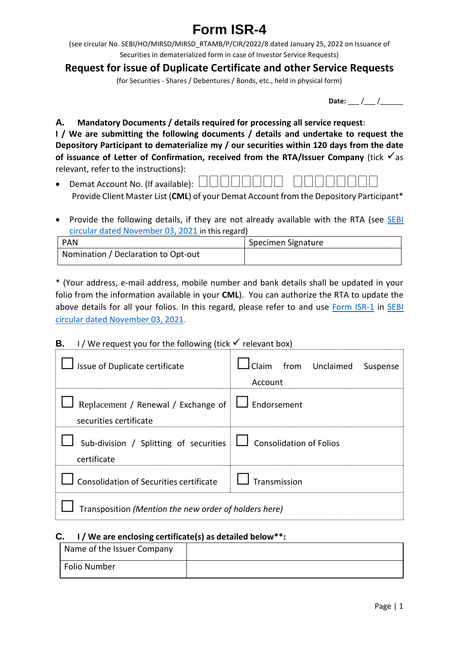# **Form ISR-4**

(see circular No. SEBI/HO/MIRSD/MIRSD\_RTAMB/P/CIR/2022/8 dated January 25, 2022 on Issuance of Securities in dematerialized form in case of Investor Service Requests)

## **Request for issue of Duplicate Certificate and other Service Requests**

(for Securities - Shares / Debentures / Bonds, etc., held in physical form)

**Date:** / /

**A. Mandatory Documents / details required for processing all service request**: **I / We are submitting the following documents / details and undertake to request the Depository Participant to dematerialize my / our securities within 120 days from the date**  of **issuance** of Letter of Confirmation, received from the RTA/Issuer Company (tick  $\checkmark$  as relevant, refer to the instructions):

- Demat Account No. (If available):  $\Box$ Provide Client Master List (**CML**) of your Demat Account from the Depository Participant\*
- Provide the following details, if they are not already available with the RTA (see SEBI [circular dated November 03, 2021](https://www.sebi.gov.in/legal/circulars/nov-2021/common-and-simplified-norms-for-processing-investor-s-service-request-by-rtas-and-norms-for-furnishing-pan-kyc-details-and-nomination_53787.html) in this regard)

| PAN                                 | Specimen Signature |
|-------------------------------------|--------------------|
| Nomination / Declaration to Opt-out |                    |

\* (Your address, e-mail address, mobile number and bank details shall be updated in your folio from the information available in your **CML**). You can authorize the RTA to update the above details for all your folios. In this regard, please refer to and use [Form ISR-1](https://www.sebi.gov.in/sebi_data/commondocs/dec-2021/pdf%20Form%20ISR-1%20(1)_p.pdf) in SEBI [circular dated November 03, 2021.](https://www.sebi.gov.in/legal/circulars/nov-2021/common-and-simplified-norms-for-processing-investor-s-service-request-by-rtas-and-norms-for-furnishing-pan-kyc-details-and-nomination_53787.html)

### **B.** I / We request you for the following (tick  $\checkmark$  relevant box)

| I Issue of Duplicate certificate                                                     | $J$ Claim from Unclaimed Suspense<br>Account |  |
|--------------------------------------------------------------------------------------|----------------------------------------------|--|
| Replacement / Renewal / Exchange of $\Box$ Endorsement<br>securities certificate     |                                              |  |
| Sub-division / Splitting of securities $\Box$ Consolidation of Folios<br>certificate |                                              |  |
| Consolidation of Securities certificate $\Box$ Transmission                          |                                              |  |
| Transposition (Mention the new order of holders here)                                |                                              |  |

### **C. I / We are enclosing certificate(s) as detailed below\*\*:**

| Name of the Issuer Company |  |
|----------------------------|--|
| Folio Number               |  |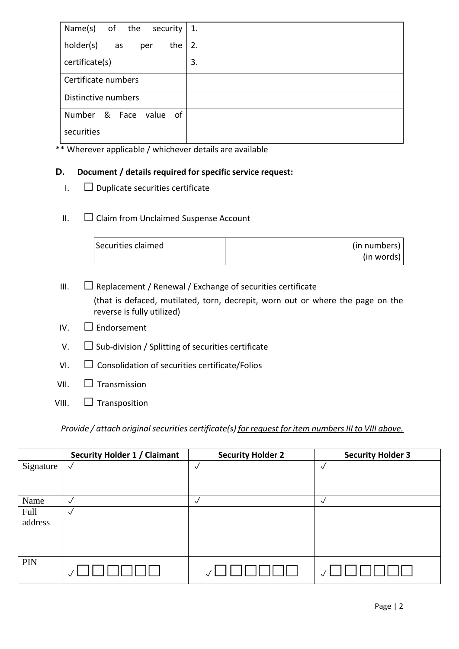| Name(s)<br>of the<br>security     | 1. |
|-----------------------------------|----|
| holder(s)<br>the<br>as<br>per     | 2. |
| certificate(s)                    | 3. |
| Certificate numbers               |    |
| Distinctive numbers               |    |
| Number<br>& Face<br>value<br>- of |    |
| securities                        |    |

\*\* Wherever applicable / whichever details are available

#### **D. Document / details required for specific service request:**

- $I. \square$  Duplicate securities certificate
- II. Claim from Unclaimed Suspense Account

| Securities claimed | (in numbers) |
|--------------------|--------------|
|                    | (in words)   |

III.  $\Box$  Replacement / Renewal / Exchange of securities certificate (that is defaced, mutilated, torn, decrepit, worn out or where the page on the reverse is fully utilized)

- IV.  $\Box$  Endorsement
- $V.$   $\square$  Sub-division / Splitting of securities certificate
- $VI.$   $\Box$  Consolidation of securities certificate/Folios
- $VII.$   $\Box$  Transmission
- VIII.  $\Box$  Transposition

*Provide / attach original securities certificate(s) for request for item numbers III to VIII above.*

|           | <b>Security Holder 1 / Claimant</b> | <b>Security Holder 2</b> | <b>Security Holder 3</b> |
|-----------|-------------------------------------|--------------------------|--------------------------|
| Signature | $\checkmark$                        | √                        | $\checkmark$             |
|           |                                     |                          |                          |
|           |                                     |                          |                          |
| Name      | $\checkmark$                        | V                        | $\checkmark$             |
| Full      | $\sqrt{ }$                          |                          |                          |
| address   |                                     |                          |                          |
|           |                                     |                          |                          |
|           |                                     |                          |                          |
| PIN       |                                     |                          |                          |
|           |                                     |                          |                          |
|           |                                     |                          |                          |